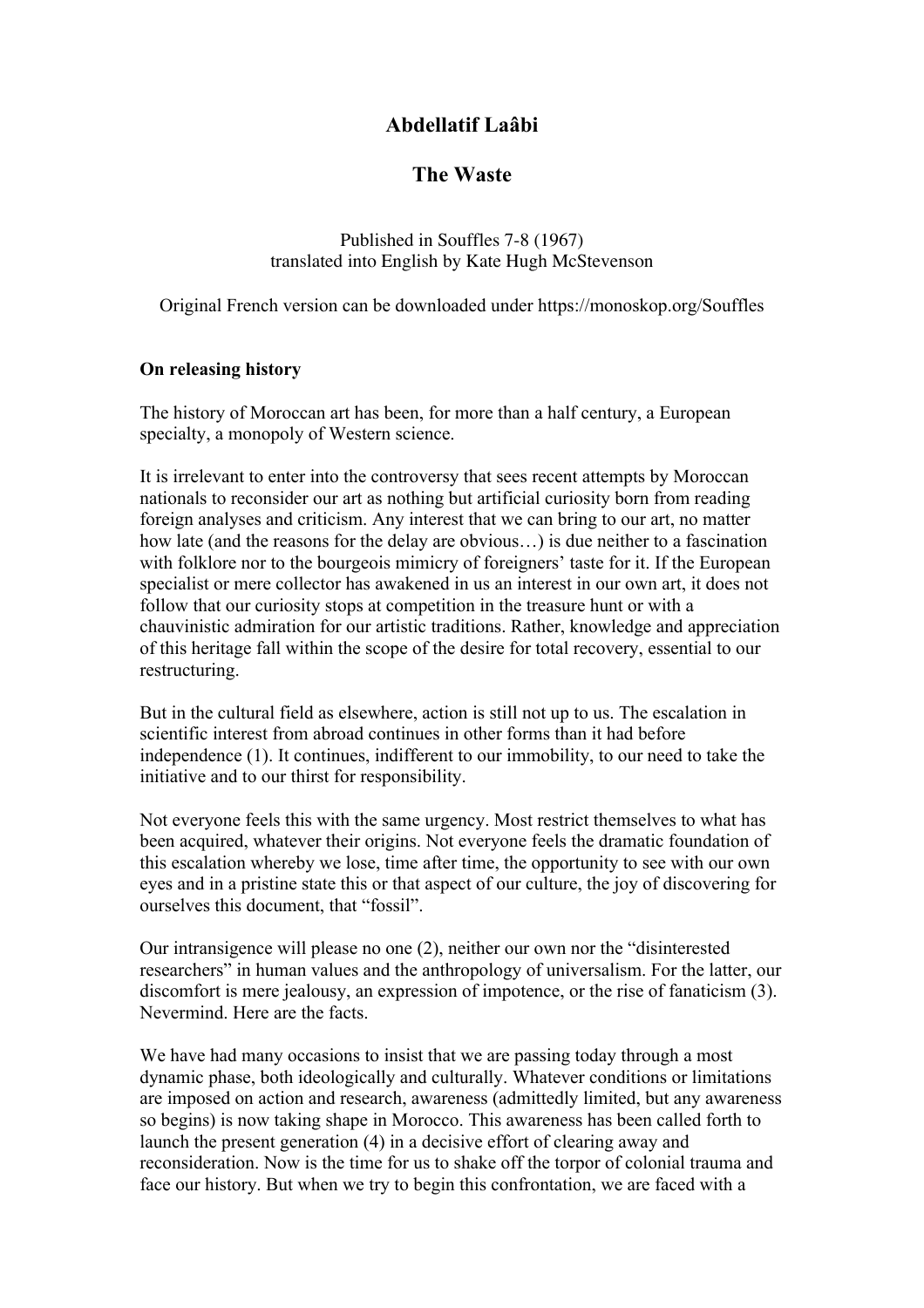# **Abdellatif Laâbi**

# **The Waste**

Published in Souffles 7-8 (1967) translated into English by Kate Hugh McStevenson

Original French version can be downloaded under https://monoskop.org/Souffles

### **On releasing history**

The history of Moroccan art has been, for more than a half century, a European specialty, a monopoly of Western science.

It is irrelevant to enter into the controversy that sees recent attempts by Moroccan nationals to reconsider our art as nothing but artificial curiosity born from reading foreign analyses and criticism. Any interest that we can bring to our art, no matter how late (and the reasons for the delay are obvious…) is due neither to a fascination with folklore nor to the bourgeois mimicry of foreigners' taste for it. If the European specialist or mere collector has awakened in us an interest in our own art, it does not follow that our curiosity stops at competition in the treasure hunt or with a chauvinistic admiration for our artistic traditions. Rather, knowledge and appreciation of this heritage fall within the scope of the desire for total recovery, essential to our restructuring.

But in the cultural field as elsewhere, action is still not up to us. The escalation in scientific interest from abroad continues in other forms than it had before independence (1). It continues, indifferent to our immobility, to our need to take the initiative and to our thirst for responsibility.

Not everyone feels this with the same urgency. Most restrict themselves to what has been acquired, whatever their origins. Not everyone feels the dramatic foundation of this escalation whereby we lose, time after time, the opportunity to see with our own eyes and in a pristine state this or that aspect of our culture, the joy of discovering for ourselves this document, that "fossil".

Our intransigence will please no one (2), neither our own nor the "disinterested researchers" in human values and the anthropology of universalism. For the latter, our discomfort is mere jealousy, an expression of impotence, or the rise of fanaticism (3). Nevermind. Here are the facts.

We have had many occasions to insist that we are passing today through a most dynamic phase, both ideologically and culturally. Whatever conditions or limitations are imposed on action and research, awareness (admittedly limited, but any awareness so begins) is now taking shape in Morocco. This awareness has been called forth to launch the present generation (4) in a decisive effort of clearing away and reconsideration. Now is the time for us to shake off the torpor of colonial trauma and face our history. But when we try to begin this confrontation, we are faced with a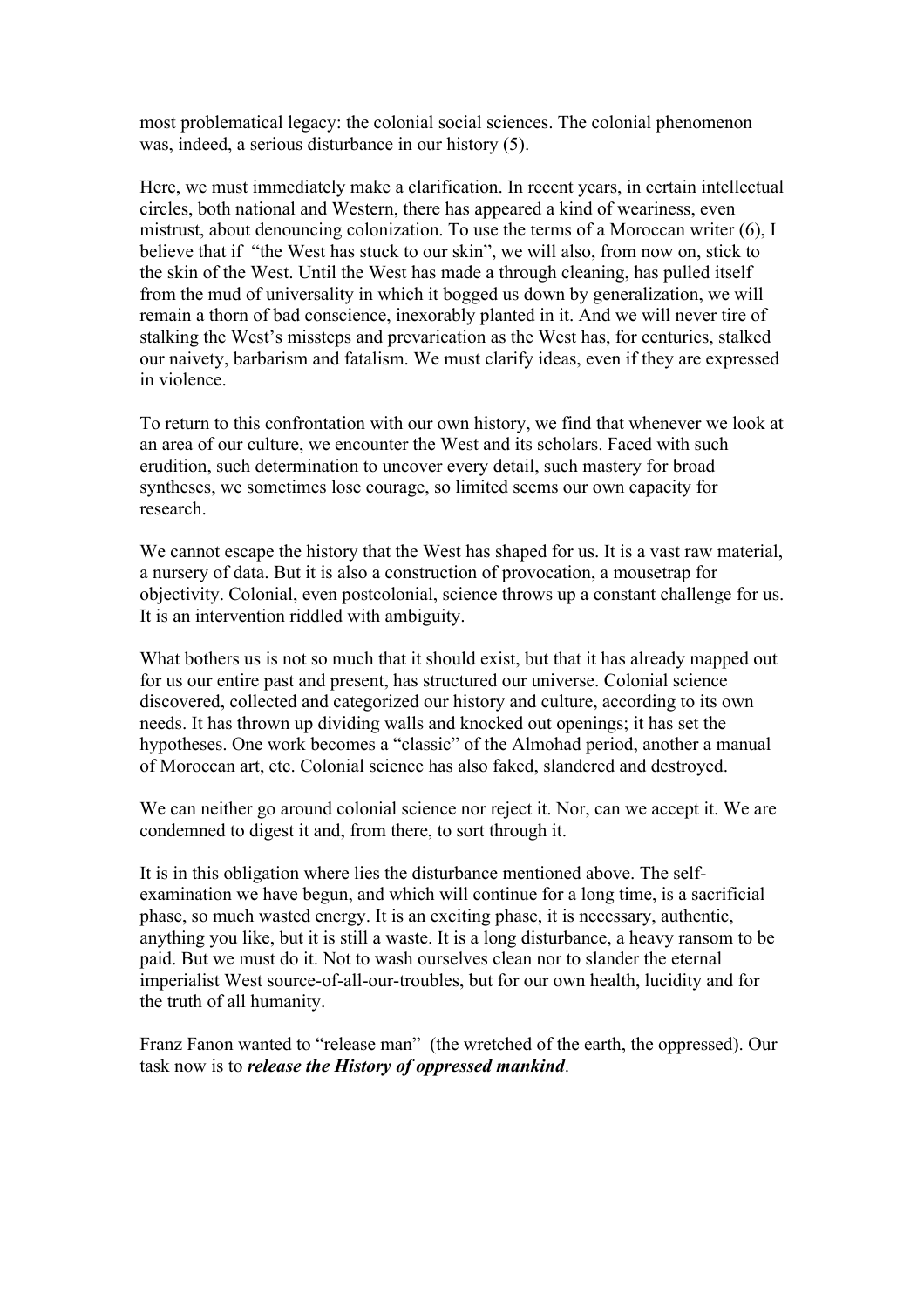most problematical legacy: the colonial social sciences. The colonial phenomenon was, indeed, a serious disturbance in our history (5).

Here, we must immediately make a clarification. In recent years, in certain intellectual circles, both national and Western, there has appeared a kind of weariness, even mistrust, about denouncing colonization. To use the terms of a Moroccan writer (6), I believe that if "the West has stuck to our skin", we will also, from now on, stick to the skin of the West. Until the West has made a through cleaning, has pulled itself from the mud of universality in which it bogged us down by generalization, we will remain a thorn of bad conscience, inexorably planted in it. And we will never tire of stalking the West's missteps and prevarication as the West has, for centuries, stalked our naivety, barbarism and fatalism. We must clarify ideas, even if they are expressed in violence.

To return to this confrontation with our own history, we find that whenever we look at an area of our culture, we encounter the West and its scholars. Faced with such erudition, such determination to uncover every detail, such mastery for broad syntheses, we sometimes lose courage, so limited seems our own capacity for research.

We cannot escape the history that the West has shaped for us. It is a vast raw material, a nursery of data. But it is also a construction of provocation, a mousetrap for objectivity. Colonial, even postcolonial, science throws up a constant challenge for us. It is an intervention riddled with ambiguity.

What bothers us is not so much that it should exist, but that it has already mapped out for us our entire past and present, has structured our universe. Colonial science discovered, collected and categorized our history and culture, according to its own needs. It has thrown up dividing walls and knocked out openings; it has set the hypotheses. One work becomes a "classic" of the Almohad period, another a manual of Moroccan art, etc. Colonial science has also faked, slandered and destroyed.

We can neither go around colonial science nor reject it. Nor, can we accept it. We are condemned to digest it and, from there, to sort through it.

It is in this obligation where lies the disturbance mentioned above. The selfexamination we have begun, and which will continue for a long time, is a sacrificial phase, so much wasted energy. It is an exciting phase, it is necessary, authentic, anything you like, but it is still a waste. It is a long disturbance, a heavy ransom to be paid. But we must do it. Not to wash ourselves clean nor to slander the eternal imperialist West source-of-all-our-troubles, but for our own health, lucidity and for the truth of all humanity.

Franz Fanon wanted to "release man" (the wretched of the earth, the oppressed). Our task now is to *release the History of oppressed mankind*.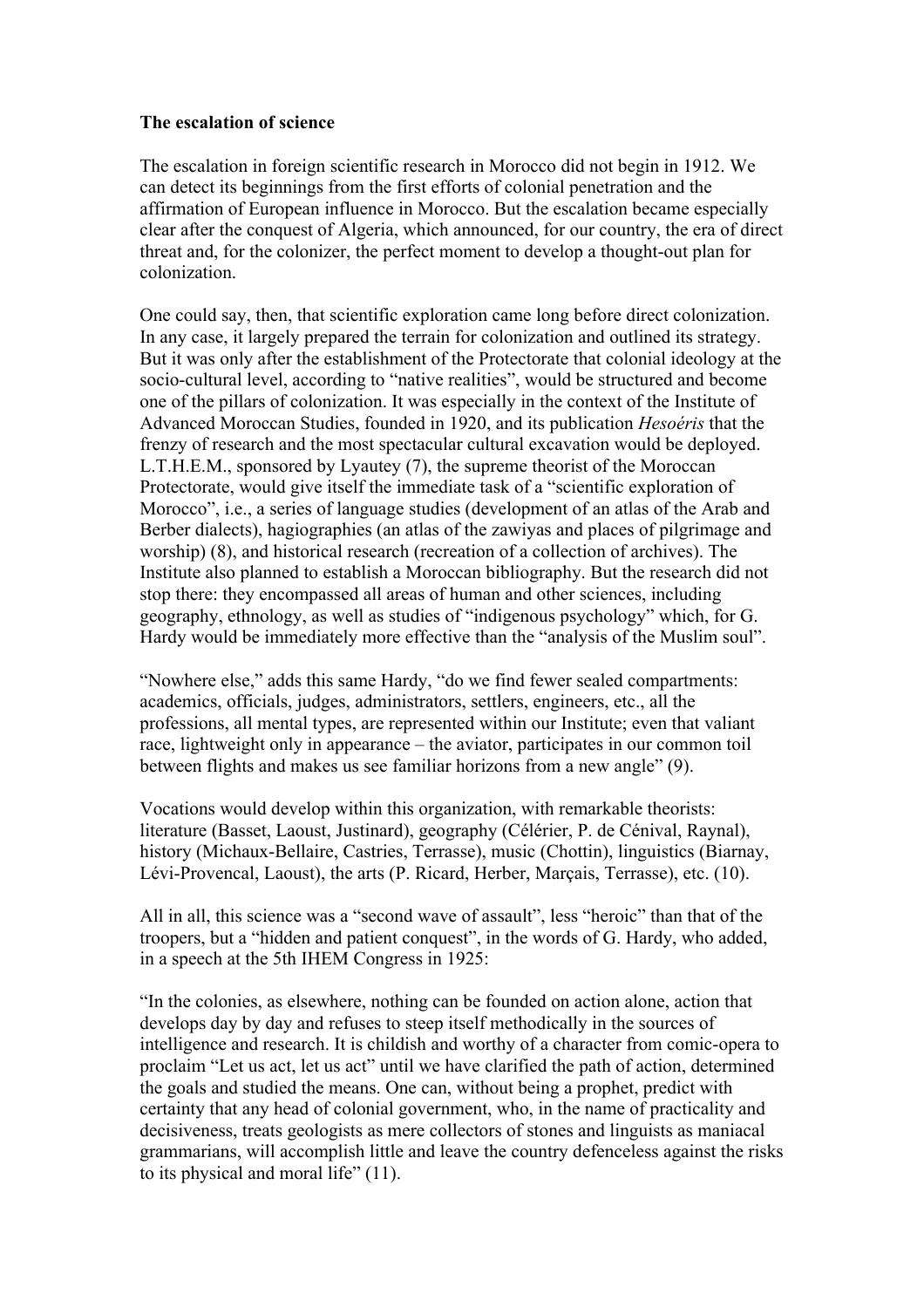#### **The escalation of science**

The escalation in foreign scientific research in Morocco did not begin in 1912. We can detect its beginnings from the first efforts of colonial penetration and the affirmation of European influence in Morocco. But the escalation became especially clear after the conquest of Algeria, which announced, for our country, the era of direct threat and, for the colonizer, the perfect moment to develop a thought-out plan for colonization.

One could say, then, that scientific exploration came long before direct colonization. In any case, it largely prepared the terrain for colonization and outlined its strategy. But it was only after the establishment of the Protectorate that colonial ideology at the socio-cultural level, according to "native realities", would be structured and become one of the pillars of colonization. It was especially in the context of the Institute of Advanced Moroccan Studies, founded in 1920, and its publication *Hesoéris* that the frenzy of research and the most spectacular cultural excavation would be deployed. L.T.H.E.M., sponsored by Lyautey (7), the supreme theorist of the Moroccan Protectorate, would give itself the immediate task of a "scientific exploration of Morocco", i.e., a series of language studies (development of an atlas of the Arab and Berber dialects), hagiographies (an atlas of the zawiyas and places of pilgrimage and worship) (8), and historical research (recreation of a collection of archives). The Institute also planned to establish a Moroccan bibliography. But the research did not stop there: they encompassed all areas of human and other sciences, including geography, ethnology, as well as studies of "indigenous psychology" which, for G. Hardy would be immediately more effective than the "analysis of the Muslim soul".

"Nowhere else," adds this same Hardy, "do we find fewer sealed compartments: academics, officials, judges, administrators, settlers, engineers, etc., all the professions, all mental types, are represented within our Institute; even that valiant race, lightweight only in appearance – the aviator, participates in our common toil between flights and makes us see familiar horizons from a new angle" (9).

Vocations would develop within this organization, with remarkable theorists: literature (Basset, Laoust, Justinard), geography (Célérier, P. de Cénival, Raynal), history (Michaux-Bellaire, Castries, Terrasse), music (Chottin), linguistics (Biarnay, Lévi-Provencal, Laoust), the arts (P. Ricard, Herber, Marçais, Terrasse), etc. (10).

All in all, this science was a "second wave of assault", less "heroic" than that of the troopers, but a "hidden and patient conquest", in the words of G. Hardy, who added, in a speech at the 5th IHEM Congress in 1925:

"In the colonies, as elsewhere, nothing can be founded on action alone, action that develops day by day and refuses to steep itself methodically in the sources of intelligence and research. It is childish and worthy of a character from comic-opera to proclaim "Let us act, let us act" until we have clarified the path of action, determined the goals and studied the means. One can, without being a prophet, predict with certainty that any head of colonial government, who, in the name of practicality and decisiveness, treats geologists as mere collectors of stones and linguists as maniacal grammarians, will accomplish little and leave the country defenceless against the risks to its physical and moral life" (11).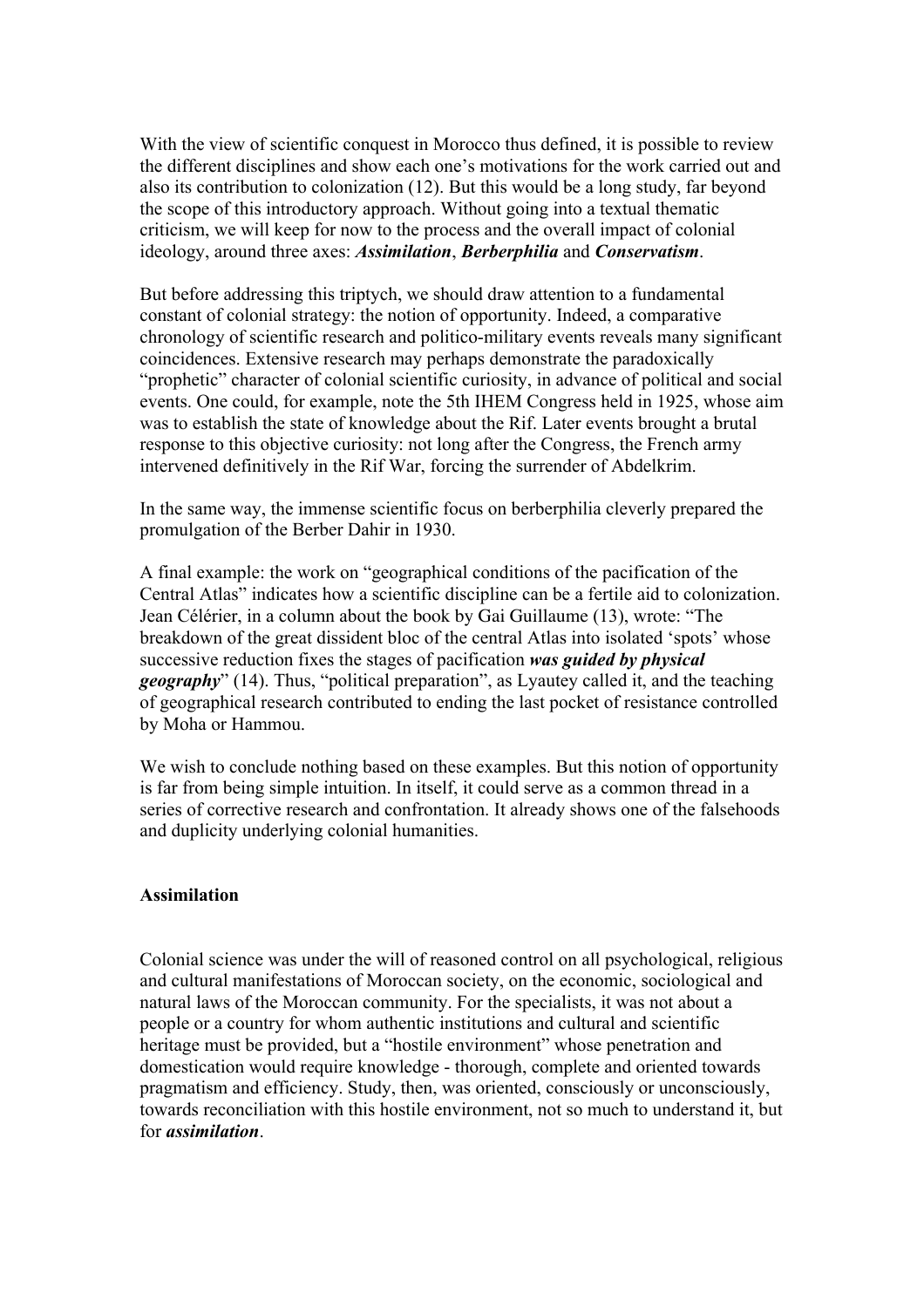With the view of scientific conquest in Morocco thus defined, it is possible to review the different disciplines and show each one's motivations for the work carried out and also its contribution to colonization (12). But this would be a long study, far beyond the scope of this introductory approach. Without going into a textual thematic criticism, we will keep for now to the process and the overall impact of colonial ideology, around three axes: *Assimilation*, *Berberphilia* and *Conservatism*.

But before addressing this triptych, we should draw attention to a fundamental constant of colonial strategy: the notion of opportunity. Indeed, a comparative chronology of scientific research and politico-military events reveals many significant coincidences. Extensive research may perhaps demonstrate the paradoxically "prophetic" character of colonial scientific curiosity, in advance of political and social events. One could, for example, note the 5th IHEM Congress held in 1925, whose aim was to establish the state of knowledge about the Rif. Later events brought a brutal response to this objective curiosity: not long after the Congress, the French army intervened definitively in the Rif War, forcing the surrender of Abdelkrim.

In the same way, the immense scientific focus on berberphilia cleverly prepared the promulgation of the Berber Dahir in 1930.

A final example: the work on "geographical conditions of the pacification of the Central Atlas" indicates how a scientific discipline can be a fertile aid to colonization. Jean Célérier, in a column about the book by Gai Guillaume (13), wrote: "The breakdown of the great dissident bloc of the central Atlas into isolated 'spots' whose successive reduction fixes the stages of pacification *was guided by physical geography*" (14). Thus, "political preparation", as Lyautey called it, and the teaching of geographical research contributed to ending the last pocket of resistance controlled by Moha or Hammou.

We wish to conclude nothing based on these examples. But this notion of opportunity is far from being simple intuition. In itself, it could serve as a common thread in a series of corrective research and confrontation. It already shows one of the falsehoods and duplicity underlying colonial humanities.

#### **Assimilation**

Colonial science was under the will of reasoned control on all psychological, religious and cultural manifestations of Moroccan society, on the economic, sociological and natural laws of the Moroccan community. For the specialists, it was not about a people or a country for whom authentic institutions and cultural and scientific heritage must be provided, but a "hostile environment" whose penetration and domestication would require knowledge - thorough, complete and oriented towards pragmatism and efficiency. Study, then, was oriented, consciously or unconsciously, towards reconciliation with this hostile environment, not so much to understand it, but for *assimilation*.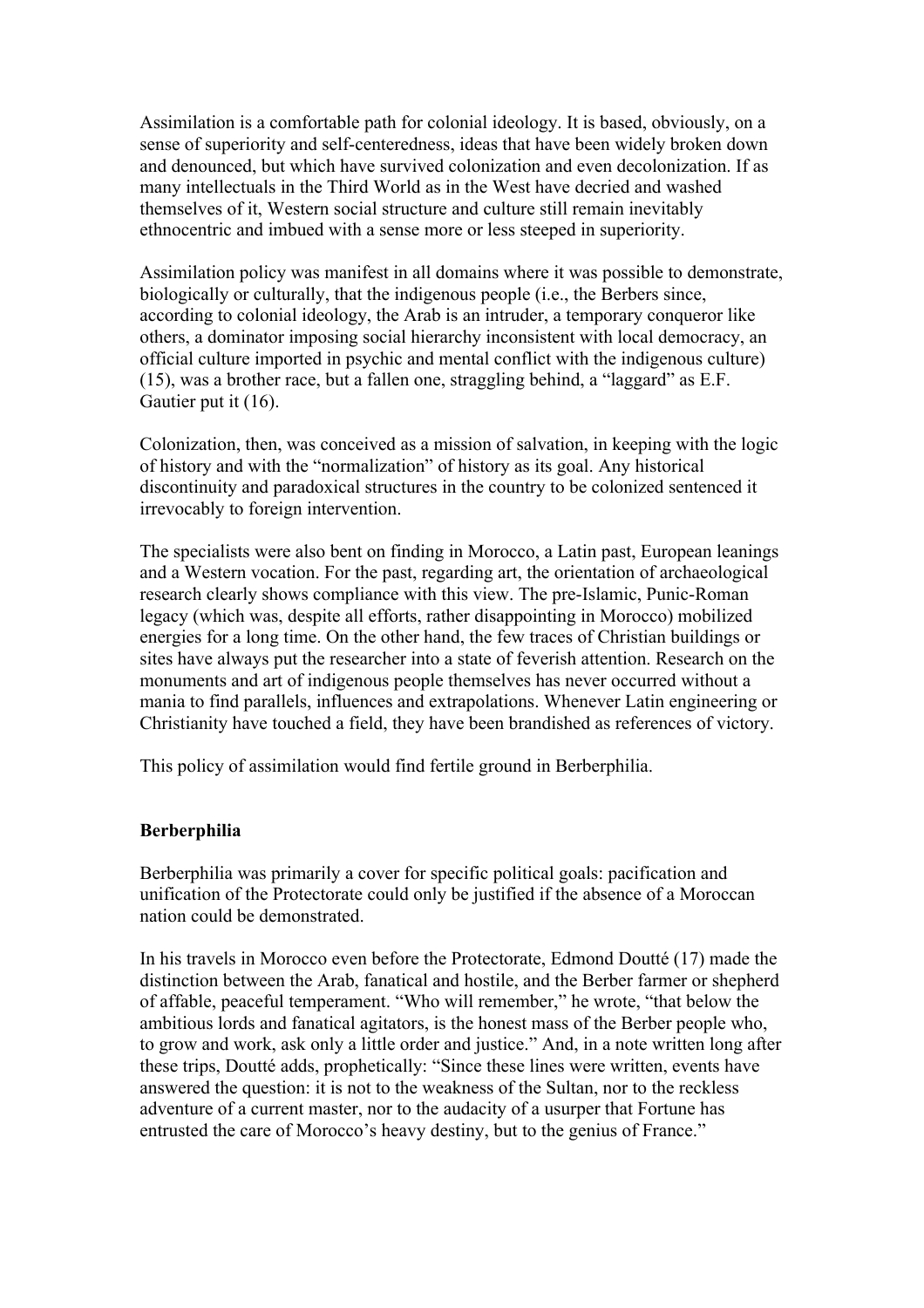Assimilation is a comfortable path for colonial ideology. It is based, obviously, on a sense of superiority and self-centeredness, ideas that have been widely broken down and denounced, but which have survived colonization and even decolonization. If as many intellectuals in the Third World as in the West have decried and washed themselves of it, Western social structure and culture still remain inevitably ethnocentric and imbued with a sense more or less steeped in superiority.

Assimilation policy was manifest in all domains where it was possible to demonstrate, biologically or culturally, that the indigenous people (i.e., the Berbers since, according to colonial ideology, the Arab is an intruder, a temporary conqueror like others, a dominator imposing social hierarchy inconsistent with local democracy, an official culture imported in psychic and mental conflict with the indigenous culture) (15), was a brother race, but a fallen one, straggling behind, a "laggard" as E.F. Gautier put it (16).

Colonization, then, was conceived as a mission of salvation, in keeping with the logic of history and with the "normalization" of history as its goal. Any historical discontinuity and paradoxical structures in the country to be colonized sentenced it irrevocably to foreign intervention.

The specialists were also bent on finding in Morocco, a Latin past, European leanings and a Western vocation. For the past, regarding art, the orientation of archaeological research clearly shows compliance with this view. The pre-Islamic, Punic-Roman legacy (which was, despite all efforts, rather disappointing in Morocco) mobilized energies for a long time. On the other hand, the few traces of Christian buildings or sites have always put the researcher into a state of feverish attention. Research on the monuments and art of indigenous people themselves has never occurred without a mania to find parallels, influences and extrapolations. Whenever Latin engineering or Christianity have touched a field, they have been brandished as references of victory.

This policy of assimilation would find fertile ground in Berberphilia.

#### **Berberphilia**

Berberphilia was primarily a cover for specific political goals: pacification and unification of the Protectorate could only be justified if the absence of a Moroccan nation could be demonstrated.

In his travels in Morocco even before the Protectorate, Edmond Doutté (17) made the distinction between the Arab, fanatical and hostile, and the Berber farmer or shepherd of affable, peaceful temperament. "Who will remember," he wrote, "that below the ambitious lords and fanatical agitators, is the honest mass of the Berber people who, to grow and work, ask only a little order and justice." And, in a note written long after these trips, Doutté adds, prophetically: "Since these lines were written, events have answered the question: it is not to the weakness of the Sultan, nor to the reckless adventure of a current master, nor to the audacity of a usurper that Fortune has entrusted the care of Morocco's heavy destiny, but to the genius of France."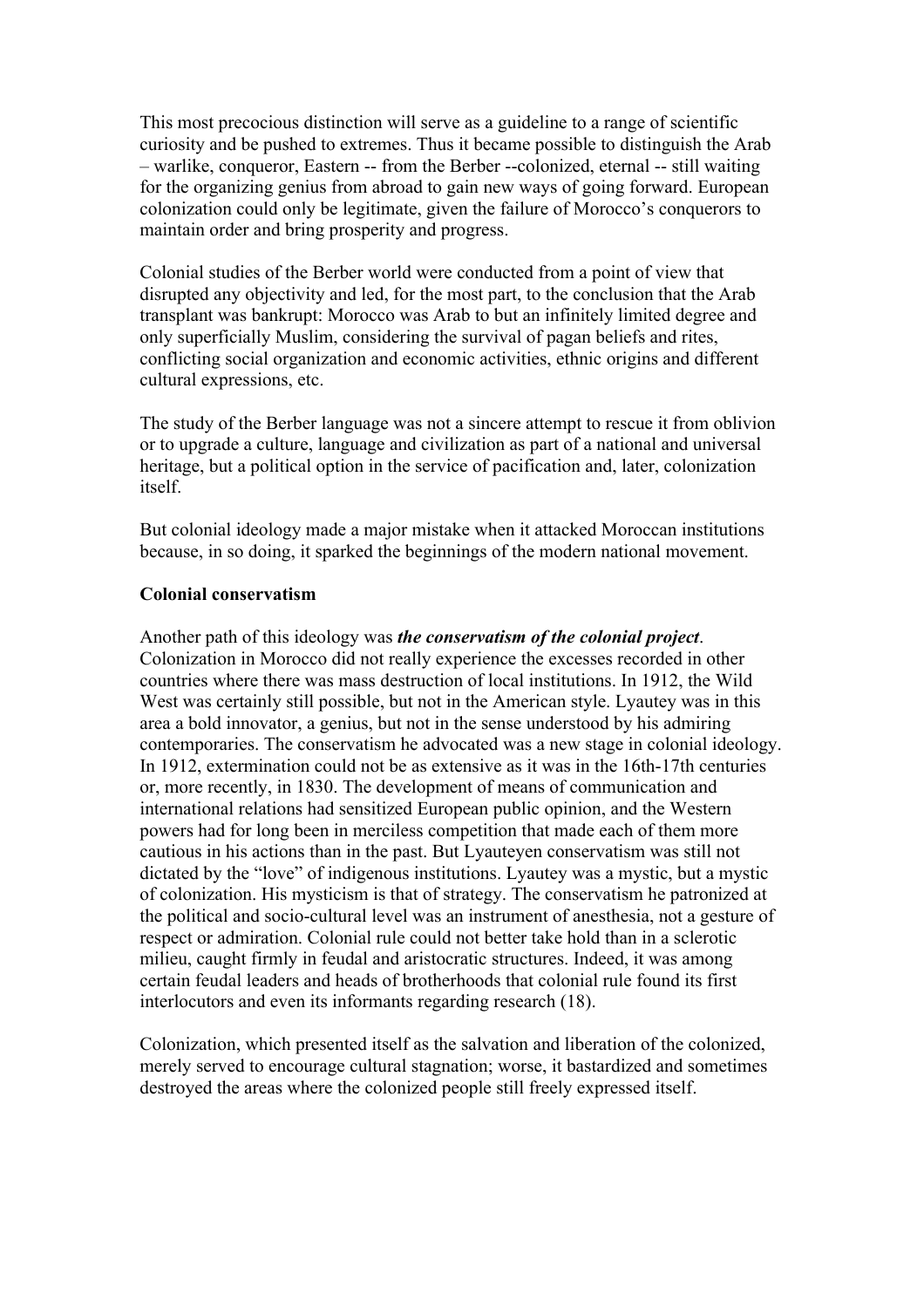This most precocious distinction will serve as a guideline to a range of scientific curiosity and be pushed to extremes. Thus it became possible to distinguish the Arab – warlike, conqueror, Eastern -- from the Berber --colonized, eternal -- still waiting for the organizing genius from abroad to gain new ways of going forward. European colonization could only be legitimate, given the failure of Morocco's conquerors to maintain order and bring prosperity and progress.

Colonial studies of the Berber world were conducted from a point of view that disrupted any objectivity and led, for the most part, to the conclusion that the Arab transplant was bankrupt: Morocco was Arab to but an infinitely limited degree and only superficially Muslim, considering the survival of pagan beliefs and rites, conflicting social organization and economic activities, ethnic origins and different cultural expressions, etc.

The study of the Berber language was not a sincere attempt to rescue it from oblivion or to upgrade a culture, language and civilization as part of a national and universal heritage, but a political option in the service of pacification and, later, colonization itself.

But colonial ideology made a major mistake when it attacked Moroccan institutions because, in so doing, it sparked the beginnings of the modern national movement.

### **Colonial conservatism**

Another path of this ideology was *the conservatism of the colonial project*. Colonization in Morocco did not really experience the excesses recorded in other countries where there was mass destruction of local institutions. In 1912, the Wild West was certainly still possible, but not in the American style. Lyautey was in this area a bold innovator, a genius, but not in the sense understood by his admiring contemporaries. The conservatism he advocated was a new stage in colonial ideology. In 1912, extermination could not be as extensive as it was in the 16th-17th centuries or, more recently, in 1830. The development of means of communication and international relations had sensitized European public opinion, and the Western powers had for long been in merciless competition that made each of them more cautious in his actions than in the past. But Lyauteyen conservatism was still not dictated by the "love" of indigenous institutions. Lyautey was a mystic, but a mystic of colonization. His mysticism is that of strategy. The conservatism he patronized at the political and socio-cultural level was an instrument of anesthesia, not a gesture of respect or admiration. Colonial rule could not better take hold than in a sclerotic milieu, caught firmly in feudal and aristocratic structures. Indeed, it was among certain feudal leaders and heads of brotherhoods that colonial rule found its first interlocutors and even its informants regarding research (18).

Colonization, which presented itself as the salvation and liberation of the colonized, merely served to encourage cultural stagnation; worse, it bastardized and sometimes destroyed the areas where the colonized people still freely expressed itself.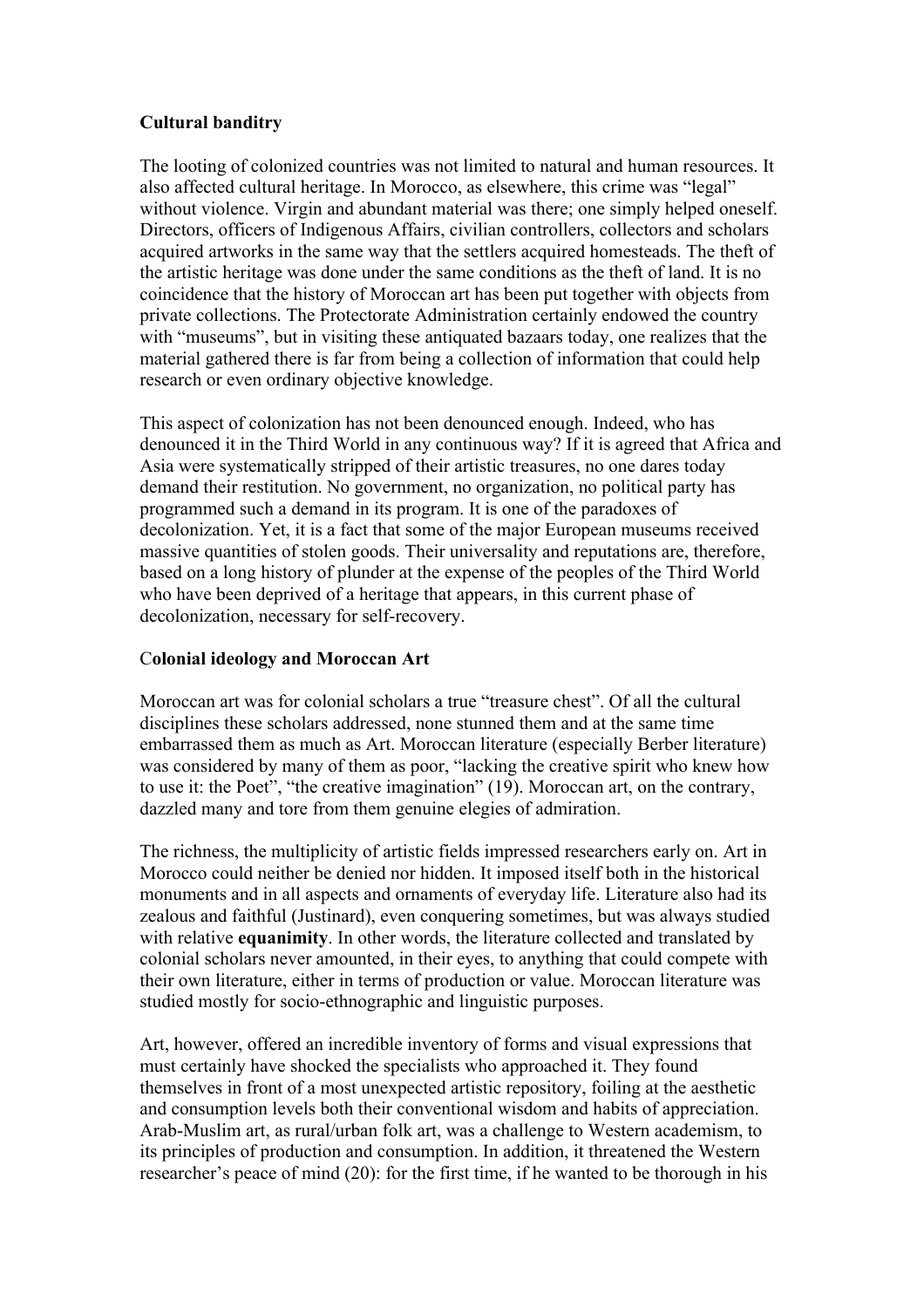# **Cultural banditry**

The looting of colonized countries was not limited to natural and human resources. It also affected cultural heritage. In Morocco, as elsewhere, this crime was "legal" without violence. Virgin and abundant material was there; one simply helped oneself. Directors, officers of Indigenous Affairs, civilian controllers, collectors and scholars acquired artworks in the same way that the settlers acquired homesteads. The theft of the artistic heritage was done under the same conditions as the theft of land. It is no coincidence that the history of Moroccan art has been put together with objects from private collections. The Protectorate Administration certainly endowed the country with "museums", but in visiting these antiquated bazaars today, one realizes that the material gathered there is far from being a collection of information that could help research or even ordinary objective knowledge.

This aspect of colonization has not been denounced enough. Indeed, who has denounced it in the Third World in any continuous way? If it is agreed that Africa and Asia were systematically stripped of their artistic treasures, no one dares today demand their restitution. No government, no organization, no political party has programmed such a demand in its program. It is one of the paradoxes of decolonization. Yet, it is a fact that some of the major European museums received massive quantities of stolen goods. Their universality and reputations are, therefore, based on a long history of plunder at the expense of the peoples of the Third World who have been deprived of a heritage that appears, in this current phase of decolonization, necessary for self-recovery.

# C**olonial ideology and Moroccan Art**

Moroccan art was for colonial scholars a true "treasure chest". Of all the cultural disciplines these scholars addressed, none stunned them and at the same time embarrassed them as much as Art. Moroccan literature (especially Berber literature) was considered by many of them as poor, "lacking the creative spirit who knew how to use it: the Poet", "the creative imagination" (19). Moroccan art, on the contrary, dazzled many and tore from them genuine elegies of admiration.

The richness, the multiplicity of artistic fields impressed researchers early on. Art in Morocco could neither be denied nor hidden. It imposed itself both in the historical monuments and in all aspects and ornaments of everyday life. Literature also had its zealous and faithful (Justinard), even conquering sometimes, but was always studied with relative **equanimity**. In other words, the literature collected and translated by colonial scholars never amounted, in their eyes, to anything that could compete with their own literature, either in terms of production or value. Moroccan literature was studied mostly for socio-ethnographic and linguistic purposes.

Art, however, offered an incredible inventory of forms and visual expressions that must certainly have shocked the specialists who approached it. They found themselves in front of a most unexpected artistic repository, foiling at the aesthetic and consumption levels both their conventional wisdom and habits of appreciation. Arab-Muslim art, as rural/urban folk art, was a challenge to Western academism, to its principles of production and consumption. In addition, it threatened the Western researcher's peace of mind (20): for the first time, if he wanted to be thorough in his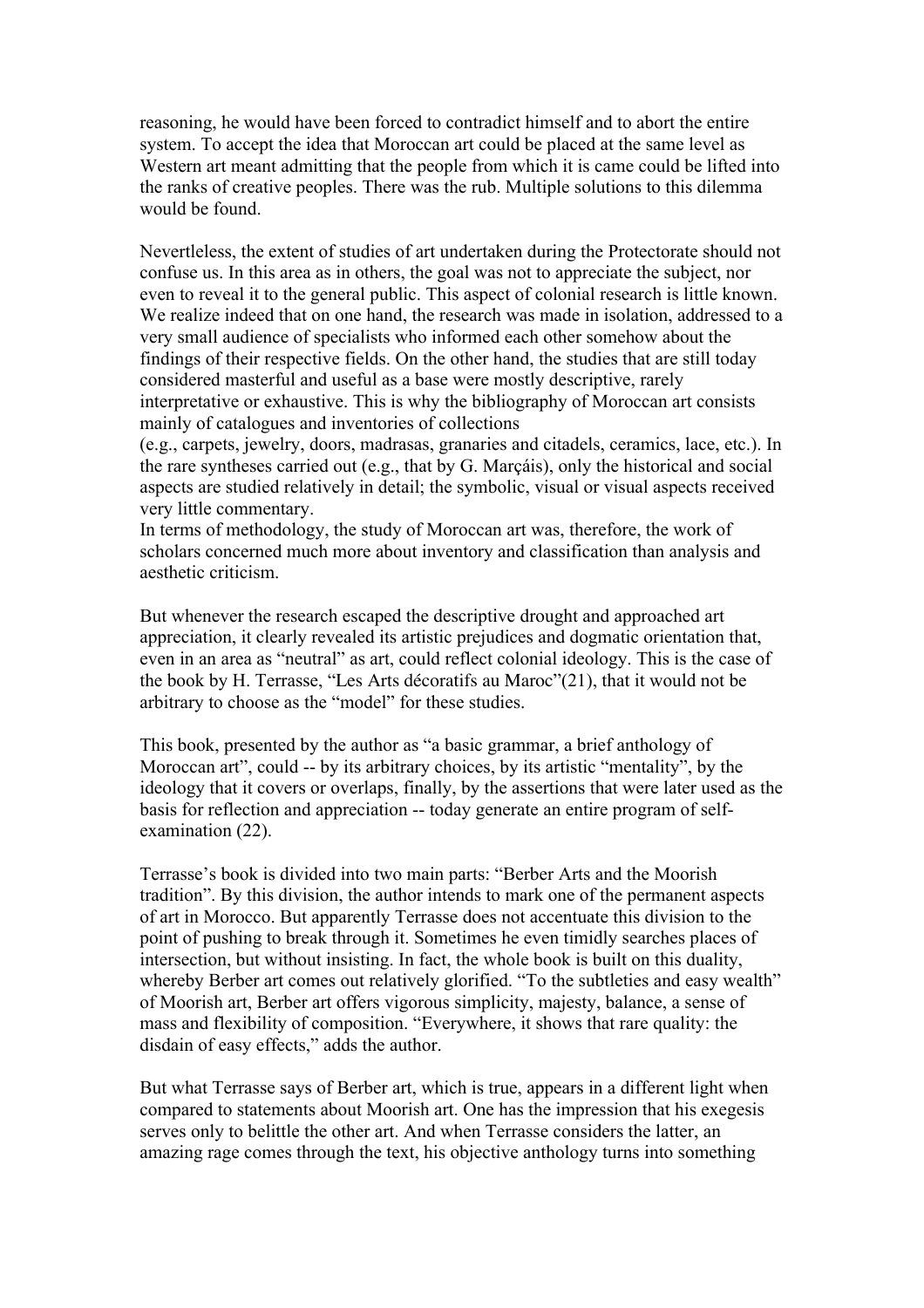reasoning, he would have been forced to contradict himself and to abort the entire system. To accept the idea that Moroccan art could be placed at the same level as Western art meant admitting that the people from which it is came could be lifted into the ranks of creative peoples. There was the rub. Multiple solutions to this dilemma would be found.

Nevertleless, the extent of studies of art undertaken during the Protectorate should not confuse us. In this area as in others, the goal was not to appreciate the subject, nor even to reveal it to the general public. This aspect of colonial research is little known. We realize indeed that on one hand, the research was made in isolation, addressed to a very small audience of specialists who informed each other somehow about the findings of their respective fields. On the other hand, the studies that are still today considered masterful and useful as a base were mostly descriptive, rarely interpretative or exhaustive. This is why the bibliography of Moroccan art consists mainly of catalogues and inventories of collections

(e.g., carpets, jewelry, doors, madrasas, granaries and citadels, ceramics, lace, etc.). In the rare syntheses carried out (e.g., that by G. Marçáis), only the historical and social aspects are studied relatively in detail; the symbolic, visual or visual aspects received very little commentary.

In terms of methodology, the study of Moroccan art was, therefore, the work of scholars concerned much more about inventory and classification than analysis and aesthetic criticism.

But whenever the research escaped the descriptive drought and approached art appreciation, it clearly revealed its artistic prejudices and dogmatic orientation that, even in an area as "neutral" as art, could reflect colonial ideology. This is the case of the book by H. Terrasse, "Les Arts décoratifs au Maroc"(21), that it would not be arbitrary to choose as the "model" for these studies.

This book, presented by the author as "a basic grammar, a brief anthology of Moroccan art", could -- by its arbitrary choices, by its artistic "mentality", by the ideology that it covers or overlaps, finally, by the assertions that were later used as the basis for reflection and appreciation -- today generate an entire program of selfexamination (22).

Terrasse's book is divided into two main parts: "Berber Arts and the Moorish tradition". By this division, the author intends to mark one of the permanent aspects of art in Morocco. But apparently Terrasse does not accentuate this division to the point of pushing to break through it. Sometimes he even timidly searches places of intersection, but without insisting. In fact, the whole book is built on this duality, whereby Berber art comes out relatively glorified. "To the subtleties and easy wealth" of Moorish art, Berber art offers vigorous simplicity, majesty, balance, a sense of mass and flexibility of composition. "Everywhere, it shows that rare quality: the disdain of easy effects," adds the author.

But what Terrasse says of Berber art, which is true, appears in a different light when compared to statements about Moorish art. One has the impression that his exegesis serves only to belittle the other art. And when Terrasse considers the latter, an amazing rage comes through the text, his objective anthology turns into something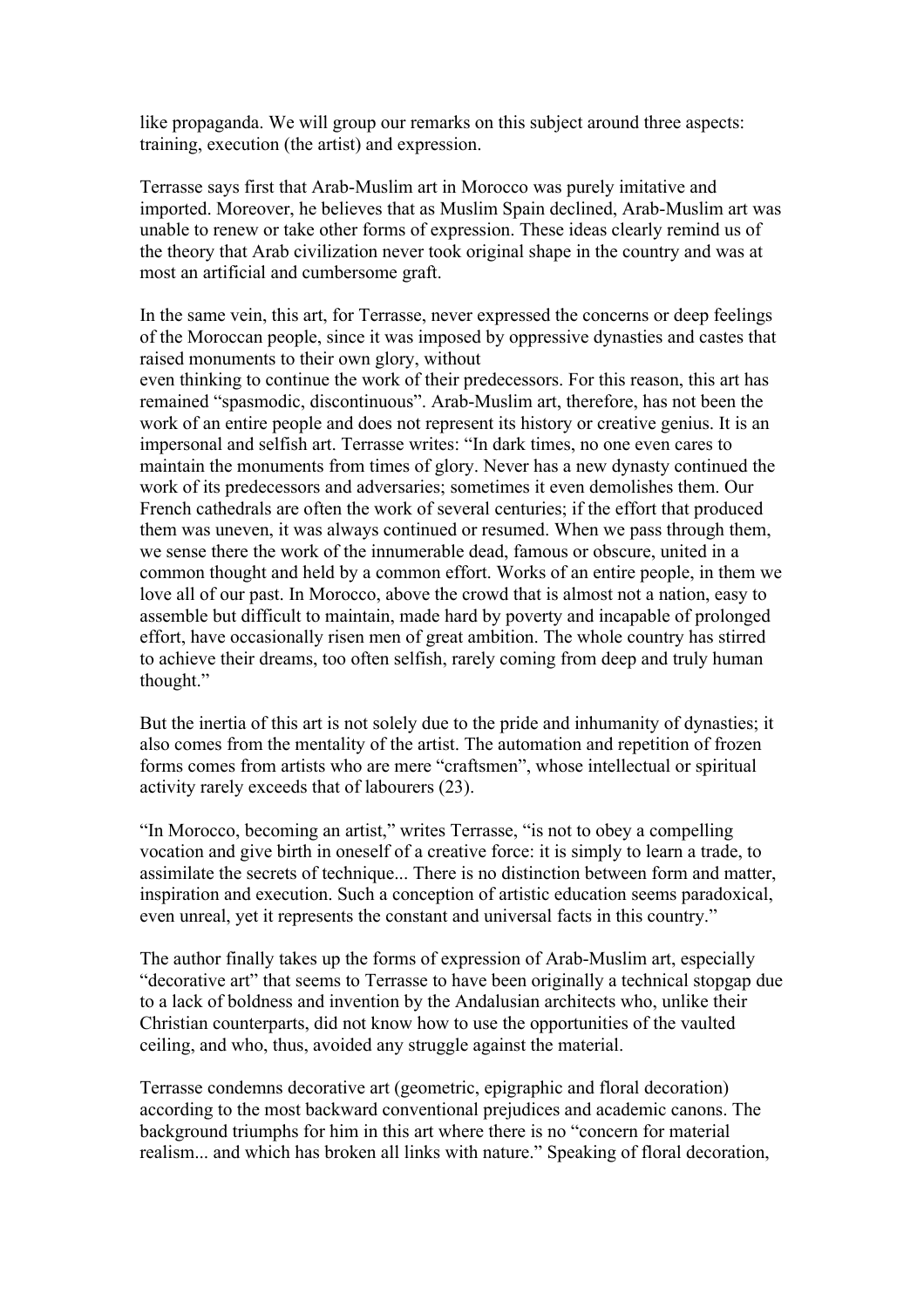like propaganda. We will group our remarks on this subject around three aspects: training, execution (the artist) and expression.

Terrasse says first that Arab-Muslim art in Morocco was purely imitative and imported. Moreover, he believes that as Muslim Spain declined, Arab-Muslim art was unable to renew or take other forms of expression. These ideas clearly remind us of the theory that Arab civilization never took original shape in the country and was at most an artificial and cumbersome graft.

In the same vein, this art, for Terrasse, never expressed the concerns or deep feelings of the Moroccan people, since it was imposed by oppressive dynasties and castes that raised monuments to their own glory, without even thinking to continue the work of their predecessors. For this reason, this art has remained "spasmodic, discontinuous". Arab-Muslim art, therefore, has not been the work of an entire people and does not represent its history or creative genius. It is an impersonal and selfish art. Terrasse writes: "In dark times, no one even cares to maintain the monuments from times of glory. Never has a new dynasty continued the work of its predecessors and adversaries; sometimes it even demolishes them. Our French cathedrals are often the work of several centuries; if the effort that produced them was uneven, it was always continued or resumed. When we pass through them, we sense there the work of the innumerable dead, famous or obscure, united in a common thought and held by a common effort. Works of an entire people, in them we love all of our past. In Morocco, above the crowd that is almost not a nation, easy to assemble but difficult to maintain, made hard by poverty and incapable of prolonged effort, have occasionally risen men of great ambition. The whole country has stirred to achieve their dreams, too often selfish, rarely coming from deep and truly human thought."

But the inertia of this art is not solely due to the pride and inhumanity of dynasties; it also comes from the mentality of the artist. The automation and repetition of frozen forms comes from artists who are mere "craftsmen", whose intellectual or spiritual activity rarely exceeds that of labourers (23).

"In Morocco, becoming an artist," writes Terrasse, "is not to obey a compelling vocation and give birth in oneself of a creative force: it is simply to learn a trade, to assimilate the secrets of technique... There is no distinction between form and matter, inspiration and execution. Such a conception of artistic education seems paradoxical, even unreal, yet it represents the constant and universal facts in this country."

The author finally takes up the forms of expression of Arab-Muslim art, especially "decorative art" that seems to Terrasse to have been originally a technical stopgap due to a lack of boldness and invention by the Andalusian architects who, unlike their Christian counterparts, did not know how to use the opportunities of the vaulted ceiling, and who, thus, avoided any struggle against the material.

Terrasse condemns decorative art (geometric, epigraphic and floral decoration) according to the most backward conventional prejudices and academic canons. The background triumphs for him in this art where there is no "concern for material realism... and which has broken all links with nature." Speaking of floral decoration,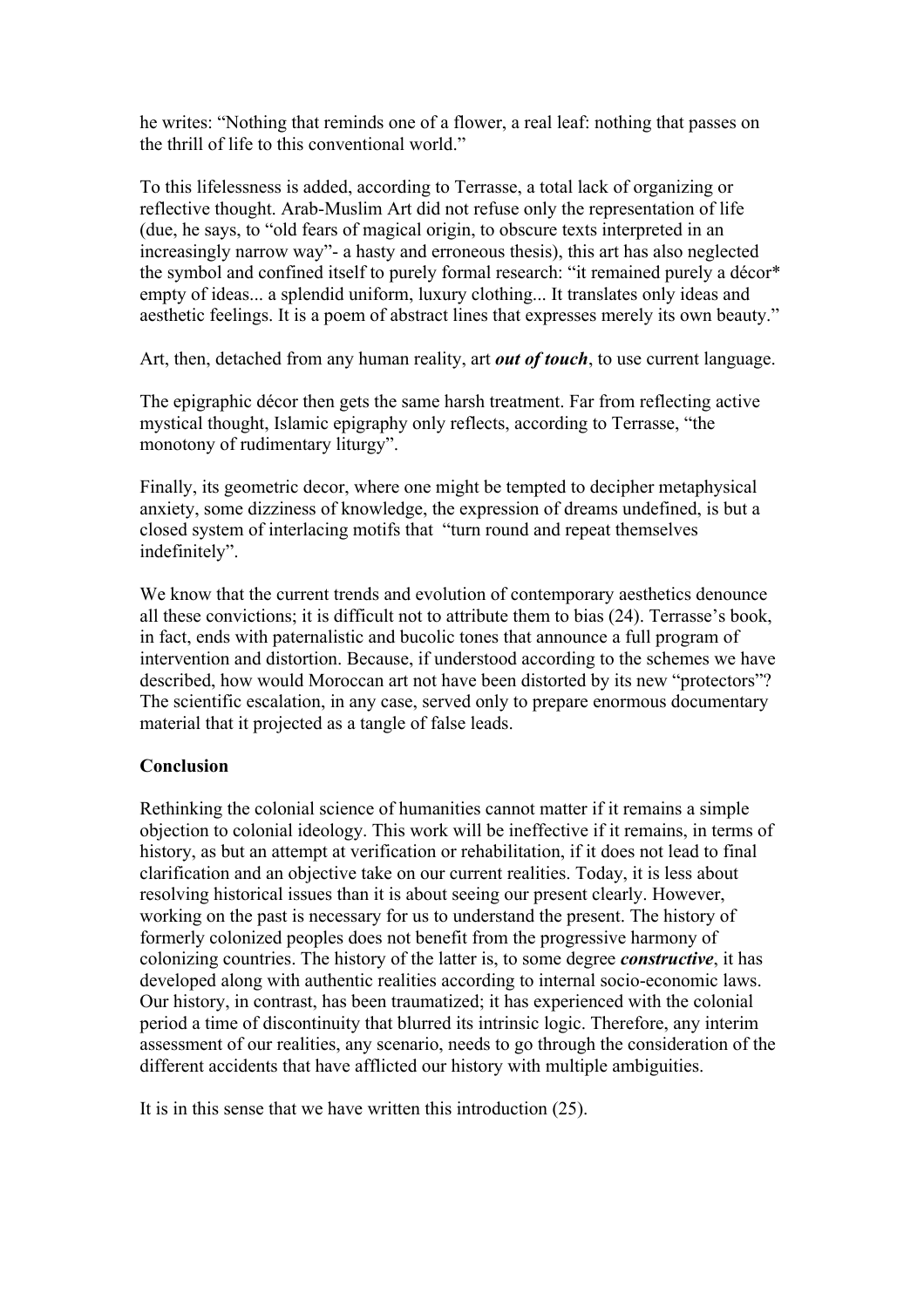he writes: "Nothing that reminds one of a flower, a real leaf: nothing that passes on the thrill of life to this conventional world."

To this lifelessness is added, according to Terrasse, a total lack of organizing or reflective thought. Arab-Muslim Art did not refuse only the representation of life (due, he says, to "old fears of magical origin, to obscure texts interpreted in an increasingly narrow way"- a hasty and erroneous thesis), this art has also neglected the symbol and confined itself to purely formal research: "it remained purely a décor\* empty of ideas... a splendid uniform, luxury clothing... It translates only ideas and aesthetic feelings. It is a poem of abstract lines that expresses merely its own beauty."

Art, then, detached from any human reality, art *out of touch*, to use current language.

The epigraphic décor then gets the same harsh treatment. Far from reflecting active mystical thought, Islamic epigraphy only reflects, according to Terrasse, "the monotony of rudimentary liturgy".

Finally, its geometric decor, where one might be tempted to decipher metaphysical anxiety, some dizziness of knowledge, the expression of dreams undefined, is but a closed system of interlacing motifs that "turn round and repeat themselves indefinitely".

We know that the current trends and evolution of contemporary aesthetics denounce all these convictions; it is difficult not to attribute them to bias (24). Terrasse's book, in fact, ends with paternalistic and bucolic tones that announce a full program of intervention and distortion. Because, if understood according to the schemes we have described, how would Moroccan art not have been distorted by its new "protectors"? The scientific escalation, in any case, served only to prepare enormous documentary material that it projected as a tangle of false leads.

#### **Conclusion**

Rethinking the colonial science of humanities cannot matter if it remains a simple objection to colonial ideology. This work will be ineffective if it remains, in terms of history, as but an attempt at verification or rehabilitation, if it does not lead to final clarification and an objective take on our current realities. Today, it is less about resolving historical issues than it is about seeing our present clearly. However, working on the past is necessary for us to understand the present. The history of formerly colonized peoples does not benefit from the progressive harmony of colonizing countries. The history of the latter is, to some degree *constructive*, it has developed along with authentic realities according to internal socio-economic laws. Our history, in contrast, has been traumatized; it has experienced with the colonial period a time of discontinuity that blurred its intrinsic logic. Therefore, any interim assessment of our realities, any scenario, needs to go through the consideration of the different accidents that have afflicted our history with multiple ambiguities.

It is in this sense that we have written this introduction (25).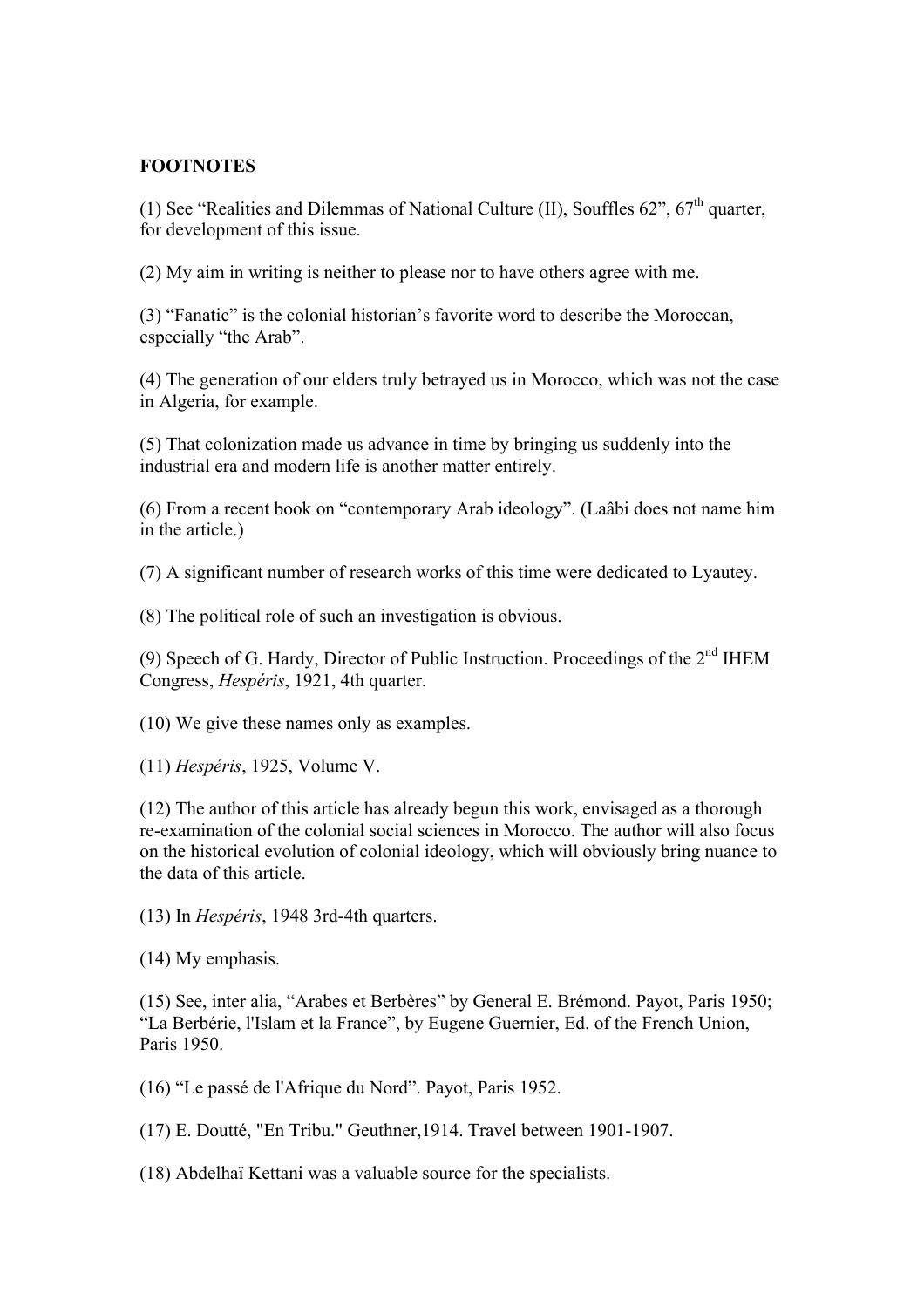### **FOOTNOTES**

(1) See "Realities and Dilemmas of National Culture (II), Souffles  $62$ ",  $67<sup>th</sup>$  quarter, for development of this issue.

(2) My aim in writing is neither to please nor to have others agree with me.

(3) "Fanatic" is the colonial historian's favorite word to describe the Moroccan, especially "the Arab".

(4) The generation of our elders truly betrayed us in Morocco, which was not the case in Algeria, for example.

(5) That colonization made us advance in time by bringing us suddenly into the industrial era and modern life is another matter entirely.

(6) From a recent book on "contemporary Arab ideology". (Laâbi does not name him in the article.)

(7) A significant number of research works of this time were dedicated to Lyautey.

(8) The political role of such an investigation is obvious.

(9) Speech of G. Hardy, Director of Public Instruction. Proceedings of the  $2<sup>nd</sup>$  IHEM Congress, *Hespéris*, 1921, 4th quarter.

(10) We give these names only as examples.

(11) *Hespéris*, 1925, Volume V.

(12) The author of this article has already begun this work, envisaged as a thorough re-examination of the colonial social sciences in Morocco. The author will also focus on the historical evolution of colonial ideology, which will obviously bring nuance to the data of this article.

(13) In *Hespéris*, 1948 3rd-4th quarters.

(14) My emphasis.

(15) See, inter alia, "Arabes et Berbères" by General E. Brémond. Payot, Paris 1950; "La Berbérie, l'Islam et la France", by Eugene Guernier, Ed. of the French Union, Paris 1950.

(16) "Le passé de l'Afrique du Nord". Payot, Paris 1952.

(17) E. Doutté, "En Tribu." Geuthner,1914. Travel between 1901-1907.

(18) Abdelhaï Kettani was a valuable source for the specialists.